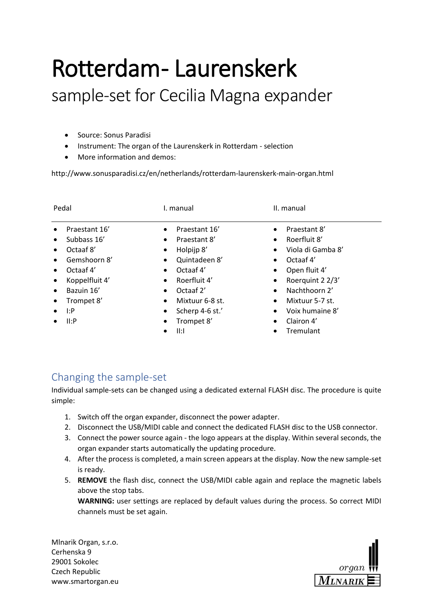## Rotterdam - Laurenskerk sample-set for Cecilia Magna expander

- Source: Sonus Paradisi
- Instrument: The organ of the Laurenskerk in Rotterdam selection
- More information and demos:

http://www.sonusparadisi.cz/en/netherlands/rotterdam-laurenskerk-main-organ.html

| Pedal                                                                                                                                                                                                 | I. manual                                                                                                                                                                                                                                                                                    | II. manual                                                                                                                                                                                                                                                                                                 |
|-------------------------------------------------------------------------------------------------------------------------------------------------------------------------------------------------------|----------------------------------------------------------------------------------------------------------------------------------------------------------------------------------------------------------------------------------------------------------------------------------------------|------------------------------------------------------------------------------------------------------------------------------------------------------------------------------------------------------------------------------------------------------------------------------------------------------------|
| Praestant 16'<br>Subbass 16'<br>$\bullet$<br>Octaaf 8'<br>$\bullet$<br>Gemshoorn 8'<br>$\bullet$<br>Octaaf 4'<br>Koppelfluit 4'<br>$\bullet$<br>Bazuin 16'<br>$\bullet$<br>Trompet 8'<br>1:P<br>II: P | Praestant 16'<br>$\bullet$<br>Praestant 8'<br>$\bullet$<br>Holpijp 8'<br>$\bullet$<br>Quintadeen 8'<br>$\bullet$<br>Octaaf 4'<br>$\bullet$<br>Roerfluit 4'<br>$\bullet$<br>Octaaf 2'<br>$\bullet$<br>Mixtuur 6-8 st.<br>$\bullet$<br>Scherp 4-6 st.'<br>$\bullet$<br>Trompet 8'<br>$\bullet$ | Praestant 8'<br>$\bullet$<br>Roerfluit 8'<br>$\bullet$<br>Viola di Gamba 8'<br>$\bullet$<br>Octaaf 4'<br>$\bullet$<br>Open fluit 4'<br>$\bullet$<br>Roerquint 2 2/3'<br>$\bullet$<br>Nachthoorn 2'<br>$\bullet$<br>Mixtuur 5-7 st.<br>$\bullet$<br>Voix humaine 8'<br>$\bullet$<br>Clairon 4'<br>$\bullet$ |
|                                                                                                                                                                                                       | II: I                                                                                                                                                                                                                                                                                        | Tremulant<br>$\bullet$                                                                                                                                                                                                                                                                                     |

## Changing the sample-set

Individual sample-sets can be changed using a dedicated external FLASH disc. The procedure is quite simple:

- 1. Switch off the organ expander, disconnect the power adapter.
- 2. Disconnect the USB/MIDI cable and connect the dedicated FLASH disc to the USB connector.
- 3. Connect the power source again the logo appears at the display. Within several seconds, the organ expander starts automatically the updating procedure.
- 4. After the process is completed, a main screen appears at the display. Now the new sample-set is ready.
- 5. **REMOVE** the flash disc, connect the USB/MIDI cable again and replace the magnetic labels above the stop tabs.

**WARNING:** user settings are replaced by default values during the process. So correct MIDI channels must be set again.

Mlnarik Organ, s.r.o. Cerhenska 9 29001 Sokolec Czech Republic www.smartorgan.eu